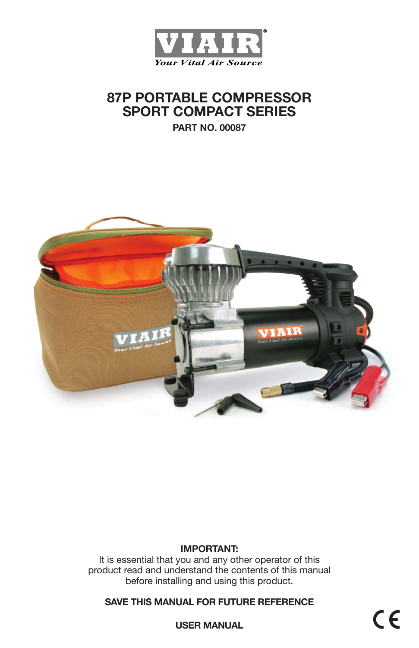

# **87P PORTABLE COMPRESSOR SPORT COMPACT SERIES**

**PART NO. 00087**



### **IMPORTANT:**

It is essential that you and any other operator of this product read and understand the contents of this manual before installing and using this product.

**SAVE THIS MANUAL FOR FUTURE REFERENCE**

 $C \in$ 

**USER MANUAL**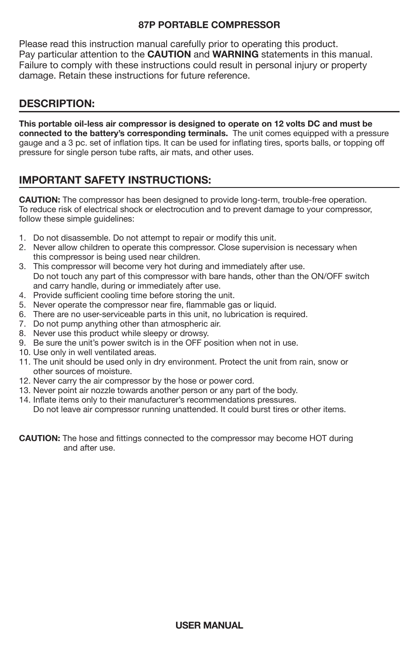### **87P PORTABLE COMPRESSOR**

Please read this instruction manual carefully prior to operating this product. Pay particular attention to the **CAUTION** and **WARNING** statements in this manual. Failure to comply with these instructions could result in personal injury or property damage. Retain these instructions for future reference.

# **DESCRIPTION:**

**This portable oil-less air compressor is designed to operate on 12 volts DC and must be connected to the battery's corresponding terminals.** The unit comes equipped with a pressure gauge and a 3 pc. set of inflation tips. It can be used for inflating tires, sports balls, or topping off pressure for single person tube rafts, air mats, and other uses.

# **IMPORTANT SAFETY INSTRUCTIONS:**

**CAUTION:** The compressor has been designed to provide long-term, trouble-free operation. To reduce risk of electrical shock or electrocution and to prevent damage to your compressor, follow these simple guidelines:

- 1. Do not disassemble. Do not attempt to repair or modify this unit.
- 2. Never allow children to operate this compressor. Close supervision is necessary when this compressor is being used near children.
- 3. This compressor will become very hot during and immediately after use. Do not touch any part of this compressor with bare hands, other than the ON/OFF switch and carry handle, during or immediately after use.
- 4. Provide sufficient cooling time before storing the unit.
- 5. Never operate the compressor near fire, flammable gas or liquid.
- 6. There are no user-serviceable parts in this unit, no lubrication is required.
- 7. Do not pump anything other than atmospheric air.
- 8. Never use this product while sleepy or drowsy.
- 9. Be sure the unit's power switch is in the OFF position when not in use.
- 10. Use only in well ventilated areas.
- 11. The unit should be used only in dry environment. Protect the unit from rain, snow or other sources of moisture.
- 12. Never carry the air compressor by the hose or power cord.
- 13. Never point air nozzle towards another person or any part of the body.
- 14. Inflate items only to their manufacturer's recommendations pressures. Do not leave air compressor running unattended. It could burst tires or other items.

**CAUTION:** The hose and fittings connected to the compressor may become HOT during and after use.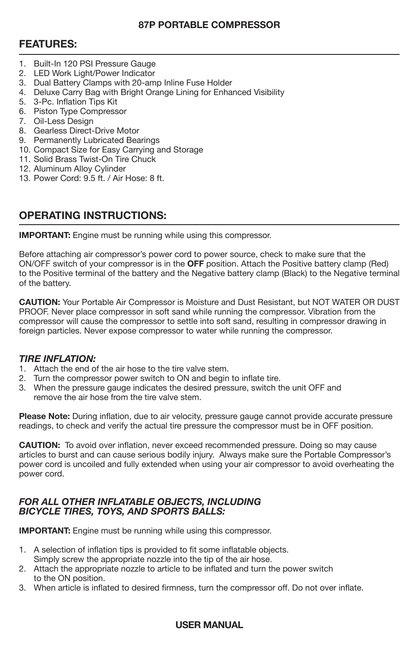### **87P PORTABLE COMPRESSOR**

# **FEATURES:**

- 1. Built-In 120 PSI Pressure Gauge
- 2. LED Work Light/Power Indicator
- 3. Dual Battery Clamps with 20-amp Inline Fuse Holder
- 4. Deluxe Carry Bag with Bright Orange Lining for Enhanced Visibility
- 5. 3-Pc. Inflation Tips Kit
- 6. Piston Type Compressor
- 7. Oil-Less Design
- 8. Gearless Direct-Drive Motor
- 9. Permanently Lubricated Bearings
- 10. Compact Size for Easy Carrying and Storage
- 11. Solid Brass Twist-On Tire Chuck
- 12. Aluminum Alloy Cylinder
- 13. Power Cord: 9.5 ft. / Air Hose: 8 ft.

# **OPERATING INSTRUCTIONS:**

**IMPORTANT:** Engine must be running while using this compressor.

Before attaching air compressor's power cord to power source, check to make sure that the ON/OFF switch of your compressor is in the **OFF** position. Attach the Positive battery clamp (Red) to the Positive terminal of the battery and the Negative battery clamp (Black) to the Negative terminal of the battery.

**CAUTION:** Your Portable Air Compressor is Moisture and Dust Resistant, but NOT WATER OR DUST PROOF. Never place compressor in soft sand while running the compressor. Vibration from the compressor will cause the compressor to settle into soft sand, resulting in compressor drawing in foreign particles. Never expose compressor to water while running the compressor.

#### *TIRE INFLATION:*

- 1. Attach the end of the air hose to the tire valve stem.
- 2. Turn the compressor power switch to ON and begin to inflate tire.
- 3. When the pressure gauge indicates the desired pressure, switch the unit OFF and remove the air hose from the tire valve stem.

**Please Note:** During inflation, due to air velocity, pressure gauge cannot provide accurate pressure readings, to check and verify the actual tire pressure the compressor must be in OFF position.

**CAUTION:** To avoid over inflation, never exceed recommended pressure. Doing so may cause articles to burst and can cause serious bodily injury. Always make sure the Portable Compressor's power cord is uncoiled and fully extended when using your air compressor to avoid overheating the power cord.

#### *FOR ALL OTHER INFLATABLE OBJECTS, INCLUDING BICYCLE TIRES, TOYS, AND SPORTS BALLS:*

**IMPORTANT:** Engine must be running while using this compressor.

- 1. A selection of inflation tips is provided to fit some inflatable objects.
	- Simply screw the appropriate nozzle into the tip of the air hose.
- 2. Attach the appropriate nozzle to article to be inflated and turn the power switch to the ON position.
- 3. When article is inflated to desired firmness, turn the compressor off. Do not over inflate.

### **USER MANUAL**